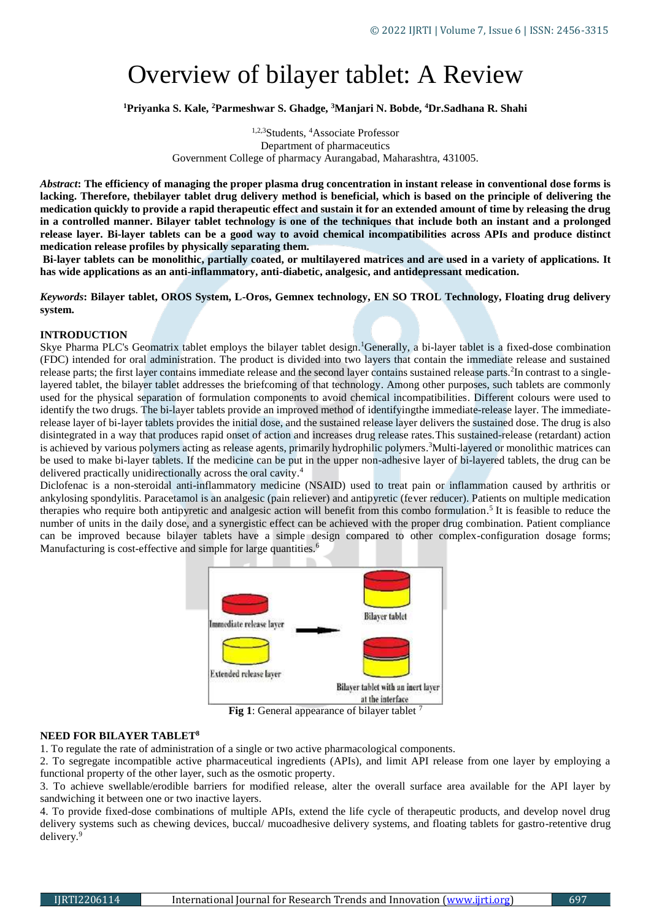# Overview of bilayer tablet: A Review

**<sup>1</sup>Priyanka S. Kale, <sup>2</sup>Parmeshwar S. Ghadge, <sup>3</sup>Manjari N. Bobde, <sup>4</sup>Dr.Sadhana R. Shahi**

1,2,3Students, <sup>4</sup>Associate Professor Department of pharmaceutics Government College of pharmacy Aurangabad, Maharashtra, 431005.

*Abstract***: The efficiency of managing the proper plasma drug concentration in instant release in conventional dose forms is lacking. Therefore, thebilayer tablet drug delivery method is beneficial, which is based on the principle of delivering the medication quickly to provide a rapid therapeutic effect and sustain it for an extended amount of time by releasing the drug in a controlled manner. Bilayer tablet technology is one of the techniques that include both an instant and a prolonged release layer. Bi-layer tablets can be a good way to avoid chemical incompatibilities across APIs and produce distinct medication release profiles by physically separating them.**

**Bi-layer tablets can be monolithic, partially coated, or multilayered matrices and are used in a variety of applications. It has wide applications as an anti-inflammatory, anti-diabetic, analgesic, and antidepressant medication.** 

*Keywords***: Bilayer tablet, OROS System, L-Oros, Gemnex technology, EN SO TROL Technology, Floating drug delivery system.**

#### **INTRODUCTION**

Skye Pharma PLC's Geomatrix tablet employs the bilayer tablet design.<sup>1</sup>Generally, a bi-layer tablet is a fixed-dose combination (FDC) intended for oral administration. The product is divided into two layers that contain the immediate release and sustained release parts; the first layer contains immediate release and the second layer contains sustained release parts.<sup>2</sup>In contrast to a singlelayered tablet, the bilayer tablet addresses the briefcoming of that technology. Among other purposes, such tablets are commonly used for the physical separation of formulation components to avoid chemical incompatibilities. Different colours were used to identify the two drugs. The bi-layer tablets provide an improved method of identifyingthe immediate-release layer. The immediaterelease layer of bi-layer tablets provides the initial dose, and the sustained release layer delivers the sustained dose. The drug is also disintegrated in a way that produces rapid onset of action and increases drug release rates.This sustained-release (retardant) action is achieved by various polymers acting as release agents, primarily hydrophilic polymers.<sup>3</sup>Multi-layered or monolithic matrices can be used to make bi-layer tablets. If the medicine can be put in the upper non-adhesive layer of bi-layered tablets, the drug can be delivered practically unidirectionally across the oral cavity. 4

Diclofenac is a non-steroidal anti-inflammatory medicine (NSAID) used to treat pain or inflammation caused by arthritis or ankylosing spondylitis. Paracetamol is an analgesic (pain reliever) and antipyretic (fever reducer). Patients on multiple medication therapies who require both antipyretic and analgesic action will benefit from this combo formulation.<sup>5</sup> It is feasible to reduce the number of units in the daily dose, and a synergistic effect can be achieved with the proper drug combination. Patient compliance can be improved because bilayer tablets have a simple design compared to other complex-configuration dosage forms; Manufacturing is cost-effective and simple for large quantities.<sup>6</sup>



**Fig 1**: General appearance of bilayer tablet <sup>7</sup>

#### **NEED FOR BILAYER TABLET<sup>8</sup>**

1. To regulate the rate of administration of a single or two active pharmacological components.

2. To segregate incompatible active pharmaceutical ingredients (APIs), and limit API release from one layer by employing a functional property of the other layer, such as the osmotic property.

3. To achieve swellable/erodible barriers for modified release, alter the overall surface area available for the API layer by sandwiching it between one or two inactive layers.

4. To provide fixed-dose combinations of multiple APIs, extend the life cycle of therapeutic products, and develop novel drug delivery systems such as chewing devices, buccal/ mucoadhesive delivery systems, and floating tablets for gastro-retentive drug delivery.9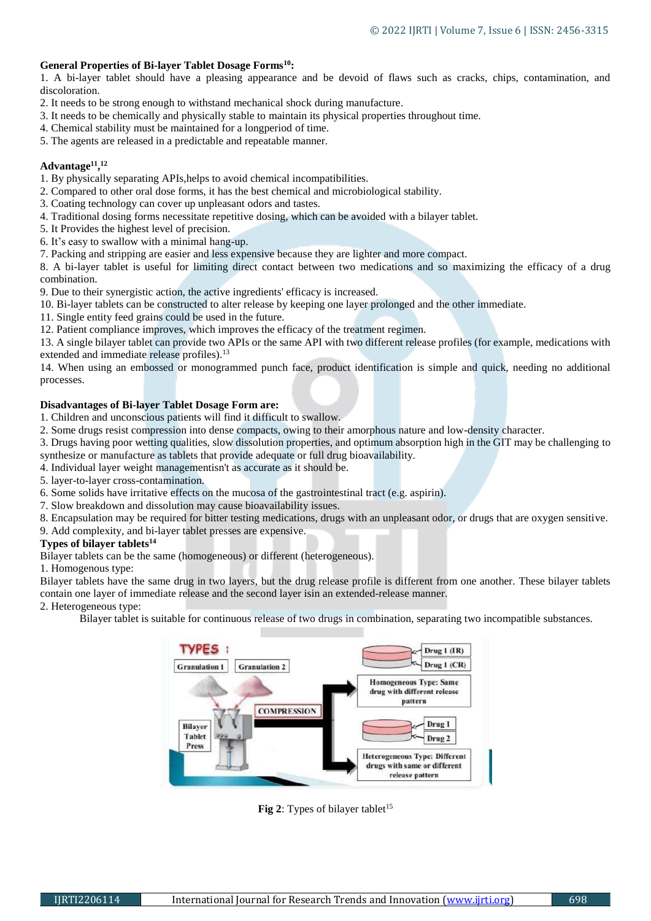## **General Properties of Bi-layer Tablet Dosage Forms<sup>10</sup>:**

1. A bi-layer tablet should have a pleasing appearance and be devoid of flaws such as cracks, chips, contamination, and discoloration.

- 2. It needs to be strong enough to withstand mechanical shock during manufacture.
- 3. It needs to be chemically and physically stable to maintain its physical properties throughout time.
- 4. Chemical stability must be maintained for a longperiod of time.
- 5. The agents are released in a predictable and repeatable manner.

## **Advantage<sup>11</sup> , 12**

1. By physically separating APIs,helps to avoid chemical incompatibilities.

- 2. Compared to other oral dose forms, it has the best chemical and microbiological stability.
- 3. Coating technology can cover up unpleasant odors and tastes.
- 4. Traditional dosing forms necessitate repetitive dosing, which can be avoided with a bilayer tablet.
- 5. It Provides the highest level of precision.
- 6. It's easy to swallow with a minimal hang-up.
- 7. Packing and stripping are easier and less expensive because they are lighter and more compact.

8. A bi-layer tablet is useful for limiting direct contact between two medications and so maximizing the efficacy of a drug combination.

9. Due to their synergistic action, the active ingredients' efficacy is increased.

- 10. Bi-layer tablets can be constructed to alter release by keeping one layer prolonged and the other immediate.
- 11. Single entity feed grains could be used in the future.
- 12. Patient compliance improves, which improves the efficacy of the treatment regimen.

13. A single bilayer tablet can provide two APIs or the same API with two different release profiles (for example, medications with extended and immediate release profiles).<sup>13</sup>

14. When using an embossed or monogrammed punch face, product identification is simple and quick, needing no additional processes.

## **Disadvantages of Bi-layer Tablet Dosage Form are:**

- 1. Children and unconscious patients will find it difficult to swallow.
- 2. Some drugs resist compression into dense compacts, owing to their amorphous nature and low-density character.

3. Drugs having poor wetting qualities, slow dissolution properties, and optimum absorption high in the GIT may be challenging to synthesize or manufacture as tablets that provide adequate or full drug bioavailability.

- 4. Individual layer weight managementisn't as accurate as it should be.
- 5. layer-to-layer cross-contamination.
- 6. Some solids have irritative effects on the mucosa of the gastrointestinal tract (e.g. aspirin).
- 7. Slow breakdown and dissolution may cause bioavailability issues.
- 8. Encapsulation may be required for bitter testing medications, drugs with an unpleasant odor, or drugs that are oxygen sensitive.
- 9. Add complexity, and bi-layer tablet presses are expensive.

## **Types of bilayer tablets<sup>14</sup>**

Bilayer tablets can be the same (homogeneous) or different (heterogeneous).

1. Homogenous type:

Bilayer tablets have the same drug in two layers, but the drug release profile is different from one another. These bilayer tablets contain one layer of immediate release and the second layer isin an extended-release manner.

#### 2. Heterogeneous type:

Bilayer tablet is suitable for continuous release of two drugs in combination, separating two incompatible substances.



**Fig 2**: Types of bilayer tablet<sup>15</sup>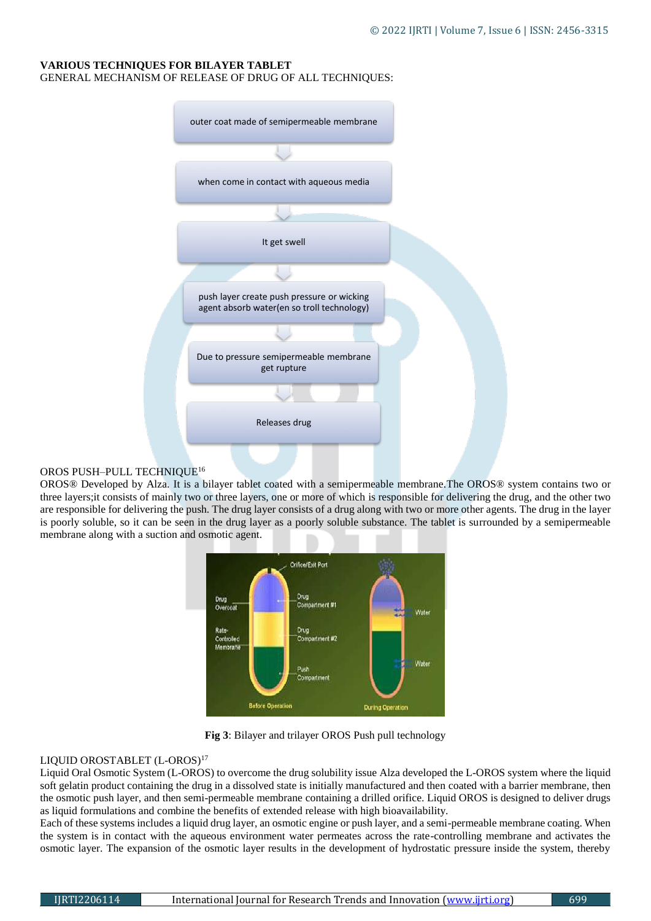#### **VARIOUS TECHNIQUES FOR BILAYER TABLET** GENERAL MECHANISM OF RELEASE OF DRUG OF ALL TECHNIQUES:

| outer coat made of semipermeable membrane                                                |
|------------------------------------------------------------------------------------------|
|                                                                                          |
| when come in contact with aqueous media                                                  |
|                                                                                          |
| It get swell                                                                             |
|                                                                                          |
| push layer create push pressure or wicking<br>agent absorb water(en so troll technology) |
|                                                                                          |
| Due to pressure semipermeable membrane<br>get rupture                                    |
|                                                                                          |
| Releases drug                                                                            |
|                                                                                          |

#### OROS PUSH–PULL TECHNIQUE<sup>16</sup>

OROS® Developed by Alza. It is a bilayer tablet coated with a semipermeable membrane.The OROS® system contains two or three layers;it consists of mainly two or three layers, one or more of which is responsible for delivering the drug, and the other two are responsible for delivering the push. The drug layer consists of a drug along with two or more other agents. The drug in the layer is poorly soluble, so it can be seen in the drug layer as a poorly soluble substance. The tablet is surrounded by a semipermeable membrane along with a suction and osmotic agent.



**Fig 3**: Bilayer and trilayer OROS Push pull technology

## LIQUID OROSTABLET (L-OROS)<sup>17</sup>

Liquid Oral Osmotic System (L-OROS) to overcome the drug solubility issue Alza developed the L-OROS system where the liquid soft gelatin product containing the drug in a dissolved state is initially manufactured and then coated with a barrier membrane, then the osmotic push layer, and then semi-permeable membrane containing a drilled orifice. Liquid OROS is designed to deliver drugs as liquid formulations and combine the benefits of extended release with high bioavailability.

Each of these systems includes a liquid drug layer, an osmotic engine or push layer, and a semi-permeable membrane coating. When the system is in contact with the aqueous environment water permeates across the rate-controlling membrane and activates the osmotic layer. The expansion of the osmotic layer results in the development of hydrostatic pressure inside the system, thereby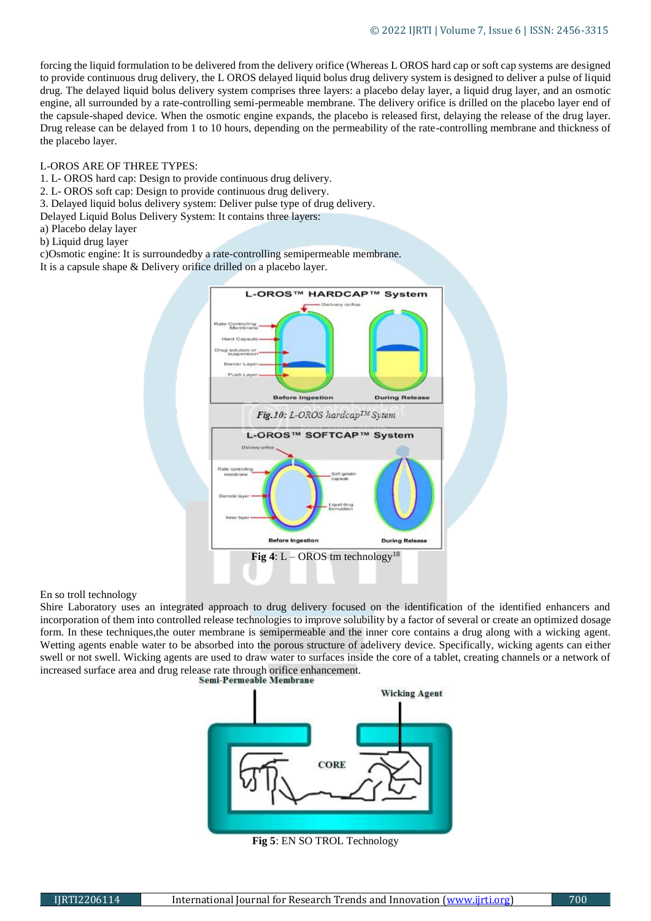forcing the liquid formulation to be delivered from the delivery orifice (Whereas L OROS hard cap or soft cap systems are designed to provide continuous drug delivery, the L OROS delayed liquid bolus drug delivery system is designed to deliver a pulse of liquid drug. The delayed liquid bolus delivery system comprises three layers: a placebo delay layer, a liquid drug layer, and an osmotic engine, all surrounded by a rate-controlling semi-permeable membrane. The delivery orifice is drilled on the placebo layer end of the capsule-shaped device. When the osmotic engine expands, the placebo is released first, delaying the release of the drug layer. Drug release can be delayed from 1 to 10 hours, depending on the permeability of the rate-controlling membrane and thickness of the placebo layer.

#### L-OROS ARE OF THREE TYPES:

- 1. L- OROS hard cap: Design to provide continuous drug delivery.
- 2. L- OROS soft cap: Design to provide continuous drug delivery.
- 3. Delayed liquid bolus delivery system: Deliver pulse type of drug delivery.
- Delayed Liquid Bolus Delivery System: It contains three layers:
- a) Placebo delay layer
- b) Liquid drug layer

c)Osmotic engine: It is surroundedby a rate-controlling semipermeable membrane.

It is a capsule shape & Delivery orifice drilled on a placebo layer.



## En so troll technology

Shire Laboratory uses an integrated approach to drug delivery focused on the identification of the identified enhancers and incorporation of them into controlled release technologies to improve solubility by a factor of several or create an optimized dosage form. In these techniques,the outer membrane is semipermeable and the inner core contains a drug along with a wicking agent. Wetting agents enable water to be absorbed into the porous structure of adelivery device. Specifically, wicking agents can either swell or not swell. Wicking agents are used to draw water to surfaces inside the core of a tablet, creating channels or a network of increased surface area and drug release rate through orifice enhancement.



**Fig 5**: EN SO TROL Technology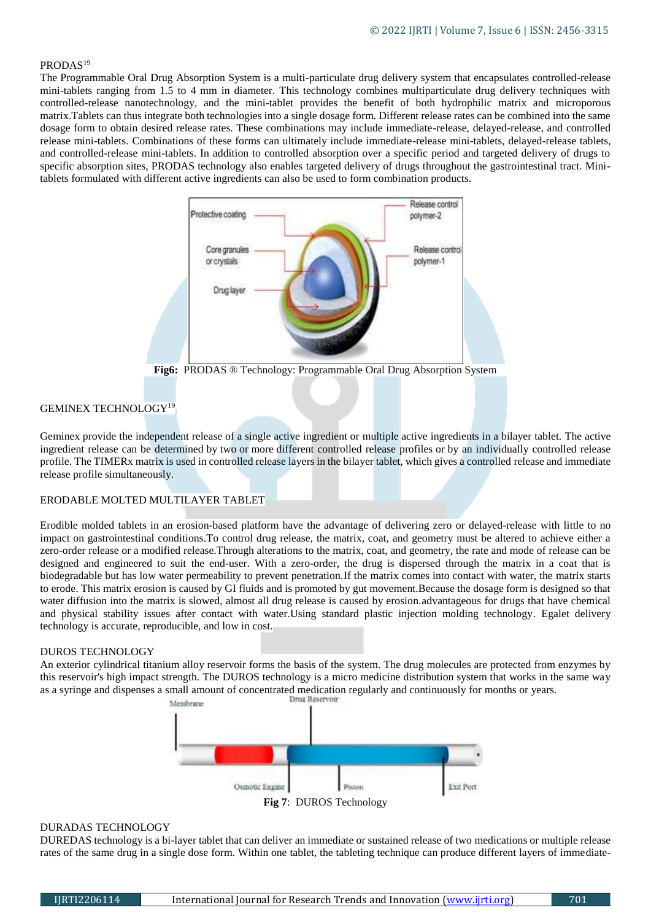## PRODAS<sup>19</sup>

The Programmable Oral Drug Absorption System is a multi-particulate drug delivery system that encapsulates controlled-release mini-tablets ranging from 1.5 to 4 mm in diameter. This technology combines multiparticulate drug delivery techniques with controlled-release nanotechnology, and the mini-tablet provides the benefit of both hydrophilic matrix and microporous matrix.Tablets can thus integrate both technologies into a single dosage form. Different release rates can be combined into the same dosage form to obtain desired release rates. These combinations may include immediate-release, delayed-release, and controlled release mini-tablets. Combinations of these forms can ultimately include immediate-release mini-tablets, delayed-release tablets, and controlled-release mini-tablets. In addition to controlled absorption over a specific period and targeted delivery of drugs to specific absorption sites, PRODAS technology also enables targeted delivery of drugs throughout the gastrointestinal tract. Minitablets formulated with different active ingredients can also be used to form combination products.



**Fig6:** PRODAS ® Technology: Programmable Oral Drug Absorption System

#### GEMINEX TECHNOLOGY<sup>19</sup>

Geminex provide the independent release of a single active ingredient or multiple active ingredients in a bilayer tablet. The active ingredient release can be determined by two or more different controlled release profiles or by an individually controlled release profile. The TIMERx matrix is used in controlled release layers in the bilayer tablet, which gives a controlled release and immediate release profile simultaneously.

#### ERODABLE MOLTED MULTILAYER TABLET

Erodible molded tablets in an erosion-based platform have the advantage of delivering zero or delayed-release with little to no impact on gastrointestinal conditions.To control drug release, the matrix, coat, and geometry must be altered to achieve either a zero-order release or a modified release.Through alterations to the matrix, coat, and geometry, the rate and mode of release can be designed and engineered to suit the end-user. With a zero-order, the drug is dispersed through the matrix in a coat that is biodegradable but has low water permeability to prevent penetration.If the matrix comes into contact with water, the matrix starts to erode. This matrix erosion is caused by GI fluids and is promoted by gut movement.Because the dosage form is designed so that water diffusion into the matrix is slowed, almost all drug release is caused by erosion.advantageous for drugs that have chemical and physical stability issues after contact with water.Using standard plastic injection molding technology. Egalet delivery technology is accurate, reproducible, and low in cost.

#### DUROS TECHNOLOGY

An exterior cylindrical titanium alloy reservoir forms the basis of the system. The drug molecules are protected from enzymes by this reservoir's high impact strength. The DUROS technology is a micro medicine distribution system that works in the same way as a syringe and dispenses a small amount of concentrated medication regularly and continuously for months or years.



#### DURADAS TECHNOLOGY

DUREDAS technology is a bi-layer tablet that can deliver an immediate or sustained release of two medications or multiple release rates of the same drug in a single dose form. Within one tablet, the tableting technique can produce different layers of immediate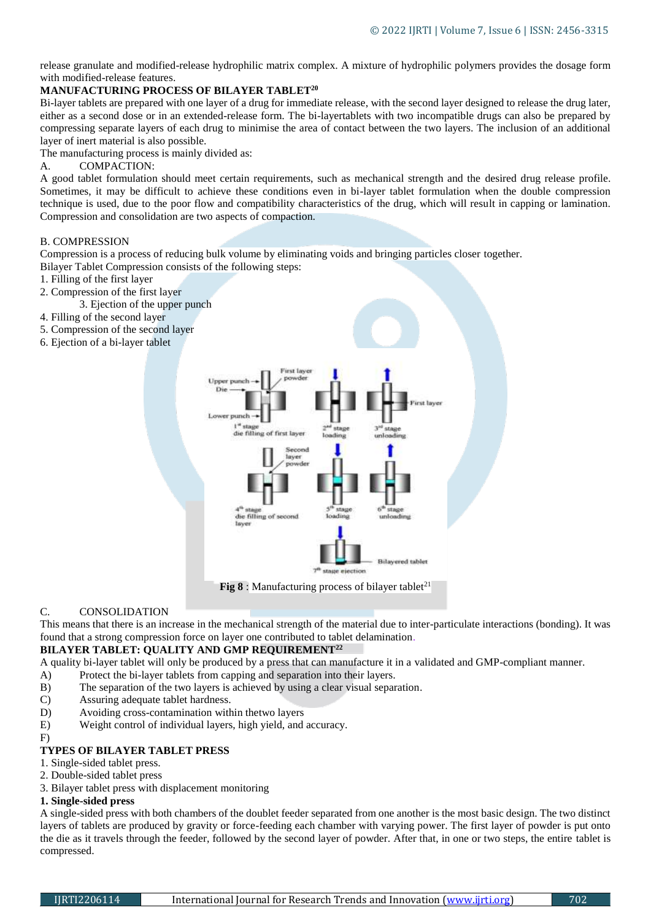release granulate and modified-release hydrophilic matrix complex. A mixture of hydrophilic polymers provides the dosage form with modified-release features.

# **MANUFACTURING PROCESS OF BILAYER TABLET<sup>20</sup>**

Bi-layer tablets are prepared with one layer of a drug for immediate release, with the second layer designed to release the drug later, either as a second dose or in an extended-release form. The bi-layertablets with two incompatible drugs can also be prepared by compressing separate layers of each drug to minimise the area of contact between the two layers. The inclusion of an additional layer of inert material is also possible.

The manufacturing process is mainly divided as:

A. COMPACTION:

A good tablet formulation should meet certain requirements, such as mechanical strength and the desired drug release profile. Sometimes, it may be difficult to achieve these conditions even in bi-layer tablet formulation when the double compression technique is used, due to the poor flow and compatibility characteristics of the drug, which will result in capping or lamination. Compression and consolidation are two aspects of compaction.

## B. COMPRESSION

Compression is a process of reducing bulk volume by eliminating voids and bringing particles closer together. Bilayer Tablet Compression consists of the following steps:

- 1. Filling of the first layer
- 2. Compression of the first layer
- 3. Ejection of the upper punch
- 4. Filling of the second layer
- 5. Compression of the second layer
- 6. Ejection of a bi-layer tablet



**Fig 8** : Manufacturing process of bilayer tablet<sup>21</sup>

# C. CONSOLIDATION

This means that there is an increase in the mechanical strength of the material due to inter-particulate interactions (bonding). It was found that a strong compression force on layer one contributed to tablet delamination.

## **BILAYER TABLET: QUALITY AND GMP REQUIREMENT<sup>22</sup>**

A quality bi-layer tablet will only be produced by a press that can manufacture it in a validated and GMP-compliant manner.

- A) Protect the bi-layer tablets from capping and separation into their layers.
- B) The separation of the two layers is achieved by using a clear visual separation.
- C) Assuring adequate tablet hardness.
- D) Avoiding cross-contamination within thetwo layers
- E) Weight control of individual layers, high yield, and accuracy.
- F)

## **TYPES OF BILAYER TABLET PRESS**

- 1. Single-sided tablet press.
- 2. Double-sided tablet press
- 3. Bilayer tablet press with displacement monitoring

## **1. Single-sided press**

A single-sided press with both chambers of the doublet feeder separated from one another is the most basic design. The two distinct layers of tablets are produced by gravity or force-feeding each chamber with varying power. The first layer of powder is put onto the die as it travels through the feeder, followed by the second layer of powder. After that, in one or two steps, the entire tablet is compressed.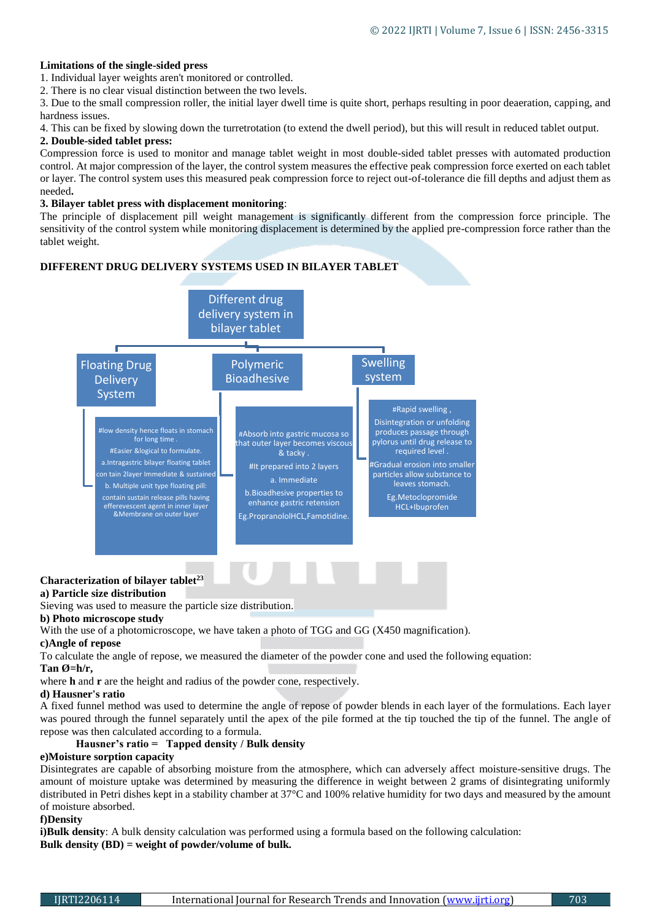## **Limitations of the single-sided press**

1. Individual layer weights aren't monitored or controlled.

2. There is no clear visual distinction between the two levels.

3. Due to the small compression roller, the initial layer dwell time is quite short, perhaps resulting in poor deaeration, capping, and hardness issues.

4. This can be fixed by slowing down the turretrotation (to extend the dwell period), but this will result in reduced tablet output.

## **2. Double-sided tablet press:**

Compression force is used to monitor and manage tablet weight in most double-sided tablet presses with automated production control. At major compression of the layer, the control system measures the effective peak compression force exerted on each tablet or layer. The control system uses this measured peak compression force to reject out-of-tolerance die fill depths and adjust them as needed**.**

## **3. Bilayer tablet press with displacement monitoring**:

The principle of displacement pill weight management is significantly different from the compression force principle. The sensitivity of the control system while monitoring displacement is determined by the applied pre-compression force rather than the tablet weight.

# **DIFFERENT DRUG DELIVERY SYSTEMS USED IN BILAYER TABLET**



# **Characterization of bilayer tablet<sup>23</sup>**

## **a) Particle size distribution**

Sieving was used to measure the particle size distribution.

#### **b) Photo microscope study**

With the use of a photomicroscope, we have taken a photo of TGG and GG (X450 magnification).

## **c)Angle of repose**

To calculate the angle of repose, we measured the diameter of the powder cone and used the following equation:

#### **Tan Ø=h/r,**

where **h** and **r** are the height and radius of the powder cone, respectively.

## **d) Hausner's ratio**

A fixed funnel method was used to determine the angle of repose of powder blends in each layer of the formulations. Each layer was poured through the funnel separately until the apex of the pile formed at the tip touched the tip of the funnel. The angle of repose was then calculated according to a formula.

# **Hausner's ratio = Tapped density / Bulk density**

## **e)Moisture sorption capacity**

Disintegrates are capable of absorbing moisture from the atmosphere, which can adversely affect moisture-sensitive drugs. The amount of moisture uptake was determined by measuring the difference in weight between 2 grams of disintegrating uniformly distributed in Petri dishes kept in a stability chamber at 37°C and 100% relative humidity for two days and measured by the amount of moisture absorbed.

## **f)Density**

**i)Bulk density:** A bulk density calculation was performed using a formula based on the following calculation: **Bulk density (BD) = weight of powder/volume of bulk.**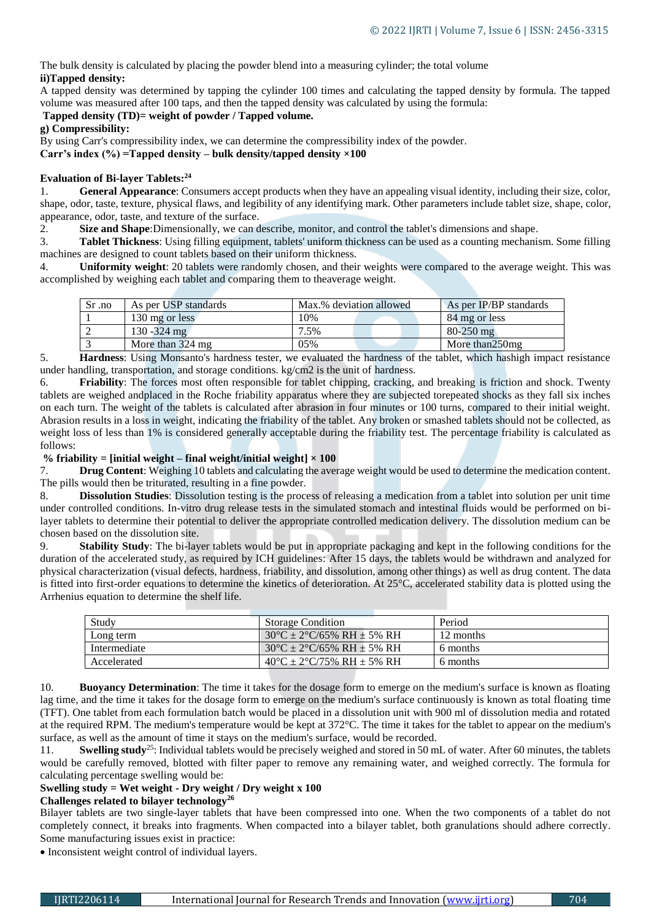The bulk density is calculated by placing the powder blend into a measuring cylinder; the total volume **ii)Tapped density:**

A tapped density was determined by tapping the cylinder 100 times and calculating the tapped density by formula. The tapped volume was measured after 100 taps, and then the tapped density was calculated by using the formula:

## **Tapped density (TD)= weight of powder / Tapped volume.**

**g) Compressibility:**

By using Carr's compressibility index, we can determine the compressibility index of the powder.

**Carr's index (%) =Tapped density – bulk density/tapped density ×100**

## **Evaluation of Bi-layer Tablets:<sup>24</sup>**

1. **General Appearance**: Consumers accept products when they have an appealing visual identity, including their size, color, shape, odor, taste, texture, physical flaws, and legibility of any identifying mark. Other parameters include tablet size, shape, color, appearance, odor, taste, and texture of the surface.

2. **Size and Shape**:Dimensionally, we can describe, monitor, and control the tablet's dimensions and shape.

3. **Tablet Thickness**: Using filling equipment, tablets' uniform thickness can be used as a counting mechanism. Some filling machines are designed to count tablets based on their uniform thickness.

4. **Uniformity weight**: 20 tablets were randomly chosen, and their weights were compared to the average weight. This was accomplished by weighing each tablet and comparing them to theaverage weight.

| Sr .no | As per USP standards | Max.% deviation allowed | As per IP/BP standards |
|--------|----------------------|-------------------------|------------------------|
|        | 130 mg or less       | .0%                     | 84 mg or less          |
|        | $130 - 324$ mg       | .5%                     | $80 - 250$ mg          |
|        | More than 324 mg     | 05%                     | More than 250 mg       |

5. **Hardness**: Using Monsanto's hardness tester, we evaluated the hardness of the tablet, which hashigh impact resistance under handling, transportation, and storage conditions. kg/cm2 is the unit of hardness.

6. **Friability**: The forces most often responsible for tablet chipping, cracking, and breaking is friction and shock. Twenty tablets are weighed andplaced in the Roche friability apparatus where they are subjected torepeated shocks as they fall six inches on each turn. The weight of the tablets is calculated after abrasion in four minutes or 100 turns, compared to their initial weight. Abrasion results in a loss in weight, indicating the friability of the tablet. Any broken or smashed tablets should not be collected, as weight loss of less than 1% is considered generally acceptable during the friability test. The percentage friability is calculated as follows:

## **% friability = [initial weight – final weight/initial weight] × 100**

7. **Drug Content**: Weighing 10 tablets and calculating the average weight would be used to determine the medication content. The pills would then be triturated, resulting in a fine powder.

8. **Dissolution Studies**: Dissolution testing is the process of releasing a medication from a tablet into solution per unit time under controlled conditions. In-vitro drug release tests in the simulated stomach and intestinal fluids would be performed on bilayer tablets to determine their potential to deliver the appropriate controlled medication delivery. The dissolution medium can be chosen based on the dissolution site.

9. **Stability Study**: The bi-layer tablets would be put in appropriate packaging and kept in the following conditions for the duration of the accelerated study, as required by ICH guidelines: After 15 days, the tablets would be withdrawn and analyzed for physical characterization (visual defects, hardness, friability, and dissolution, among other things) as well as drug content. The data is fitted into first-order equations to determine the kinetics of deterioration. At 25°C, accelerated stability data is plotted using the Arrhenius equation to determine the shelf life.

| Study        | <b>Storage Condition</b>            | Period    |
|--------------|-------------------------------------|-----------|
| Long term    | $30^{\circ}$ C ± 2°C/65% RH ± 5% RH | 12 months |
| Intermediate | $30^{\circ}$ C ± 2°C/65% RH ± 5% RH | 6 months  |
| Accelerated  | $40^{\circ}$ C ± 2°C/75% RH ± 5% RH | 6 months  |

10. **Buoyancy Determination**: The time it takes for the dosage form to emerge on the medium's surface is known as floating lag time, and the time it takes for the dosage form to emerge on the medium's surface continuously is known as total floating time (TFT). One tablet from each formulation batch would be placed in a dissolution unit with 900 ml of dissolution media and rotated at the required RPM. The medium's temperature would be kept at 372°C. The time it takes for the tablet to appear on the medium's surface, as well as the amount of time it stays on the medium's surface, would be recorded.

11. **Swelling study**<sup>25</sup>: Individual tablets would be precisely weighed and stored in 50 mL of water. After 60 minutes, the tablets would be carefully removed, blotted with filter paper to remove any remaining water, and weighed correctly. The formula for calculating percentage swelling would be:

## **Swelling study = Wet weight - Dry weight / Dry weight x 100**

## **Challenges related to bilayer technology<sup>26</sup>**

Bilayer tablets are two single-layer tablets that have been compressed into one. When the two components of a tablet do not completely connect, it breaks into fragments. When compacted into a bilayer tablet, both granulations should adhere correctly. Some manufacturing issues exist in practice:

• Inconsistent weight control of individual layers.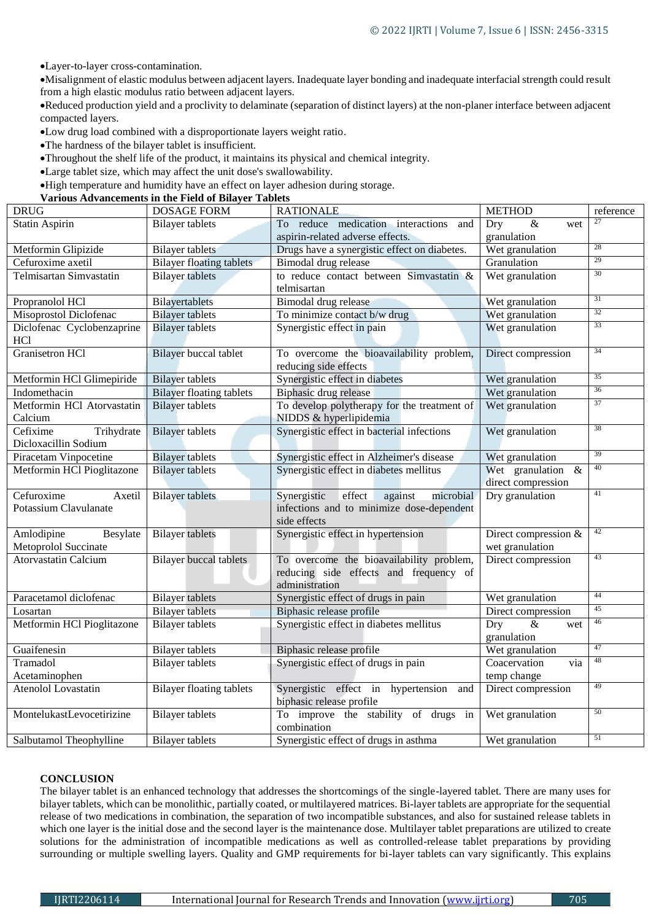Layer-to-layer cross-contamination.

Misalignment of elastic modulus between adjacent layers. Inadequate layer bonding and inadequate interfacial strength could result from a high elastic modulus ratio between adjacent layers.

Reduced production yield and a proclivity to delaminate (separation of distinct layers) at the non-planer interface between adjacent compacted layers.

- Low drug load combined with a disproportionate layers weight ratio.
- The hardness of the bilayer tablet is insufficient.
- Throughout the shelf life of the product, it maintains its physical and chemical integrity.
- Large tablet size, which may affect the unit dose's swallowability.
- High temperature and humidity have an effect on layer adhesion during storage.

#### **Various Advancements in the Field of Bilayer Tablets**

| <b>DRUG</b>                 | <b>DOSAGE FORM</b>              | <b>RATIONALE</b>                              | <b>METHOD</b>                          | reference |
|-----------------------------|---------------------------------|-----------------------------------------------|----------------------------------------|-----------|
| <b>Statin Aspirin</b>       | <b>Bilayer</b> tablets          | To reduce medication interactions<br>and      | Dry<br>&<br>wet                        | 27        |
|                             |                                 | aspirin-related adverse effects.              | granulation                            |           |
| Metformin Glipizide         | <b>Bilayer</b> tablets          | Drugs have a synergistic effect on diabetes.  | Wet granulation                        | 28        |
| Cefuroxime axetil           | <b>Bilayer floating tablets</b> | Bimodal drug release                          | Granulation                            | 29        |
| Telmisartan Simvastatin     | <b>Bilayer</b> tablets          | to reduce contact between Simvastatin &       | Wet granulation                        | 30        |
|                             |                                 | telmisartan                                   |                                        |           |
| Propranolol HCl             | Bilayertablets                  | Bimodal drug release                          | Wet granulation                        | 31        |
| Misoprostol Diclofenac      | <b>Bilayer</b> tablets          | To minimize contact b/w drug                  | Wet granulation                        | 32        |
| Diclofenac Cyclobenzaprine  | <b>Bilayer</b> tablets          | Synergistic effect in pain                    | Wet granulation                        | 33        |
| HC1                         |                                 |                                               |                                        |           |
| <b>Granisetron HCl</b>      | <b>Bilayer</b> buccal tablet    | To overcome the bioavailability problem,      | Direct compression                     | 34        |
|                             |                                 | reducing side effects                         |                                        |           |
| Metformin HCl Glimepiride   | <b>Bilayer</b> tablets          | Synergistic effect in diabetes                | Wet granulation                        | 35        |
| Indomethacin                | <b>Bilayer floating tablets</b> | Biphasic drug release                         | Wet granulation                        | 36        |
| Metformin HCl Atorvastatin  | <b>Bilayer</b> tablets          | To develop polytherapy for the treatment of   | Wet granulation                        | 37        |
| Calcium                     |                                 | NIDDS & hyperlipidemia                        |                                        |           |
| Cefixime<br>Trihydrate      | <b>Bilayer</b> tablets          | Synergistic effect in bacterial infections    | Wet granulation                        | 38        |
| Dicloxacillin Sodium        |                                 |                                               |                                        |           |
| Piracetam Vinpocetine       | <b>Bilayer</b> tablets          | Synergistic effect in Alzheimer's disease     | Wet granulation                        | 39        |
| Metformin HCl Pioglitazone  | <b>Bilayer</b> tablets          | Synergistic effect in diabetes mellitus       | Wet granulation<br>$\&$                | 40        |
|                             |                                 |                                               | direct compression                     |           |
| Cefuroxime<br>Axetil        | <b>Bilayer</b> tablets          | effect<br>microbial<br>Synergistic<br>against | Dry granulation                        | 41        |
| Potassium Clavulanate       |                                 | infections and to minimize dose-dependent     |                                        |           |
|                             |                                 | side effects                                  |                                        |           |
| Amlodipine<br>Besylate      | <b>Bilayer</b> tablets          | Synergistic effect in hypertension            | Direct compression &                   | 42        |
| Metoprolol Succinate        |                                 |                                               | wet granulation                        |           |
| <b>Atorvastatin Calcium</b> | <b>Bilayer</b> buccal tablets   | To overcome the bioavailability problem,      | Direct compression                     | 43        |
|                             |                                 | reducing side effects and frequency of        |                                        |           |
|                             |                                 | administration                                |                                        | 44        |
| Paracetamol diclofenac      | <b>Bilayer</b> tablets          | Synergistic effect of drugs in pain           | Wet granulation                        | 45        |
| Losartan                    | <b>Bilayer</b> tablets          | Biphasic release profile                      | Direct compression                     | 46        |
| Metformin HCl Pioglitazone  | <b>Bilayer</b> tablets          | Synergistic effect in diabetes mellitus       | Dry<br>$\overline{\mathcal{X}}$<br>wet |           |
|                             |                                 |                                               | granulation                            | 47        |
| Guaifenesin                 | <b>Bilayer</b> tablets          | Biphasic release profile                      | Wet granulation                        |           |
| Tramadol                    | <b>Bilayer</b> tablets          | Synergistic effect of drugs in pain           | Coacervation<br>via                    | 48        |
| Acetaminophen               |                                 |                                               | temp change                            |           |
| Atenolol Lovastatin         | <b>Bilayer floating tablets</b> | Synergistic effect in hypertension and        | Direct compression                     | 49        |
|                             |                                 | biphasic release profile                      |                                        |           |
| MontelukastLevocetirizine   | <b>Bilayer</b> tablets          | To improve the stability of drugs in          | Wet granulation                        | 50        |
|                             |                                 | combination                                   |                                        |           |
| Salbutamol Theophylline     | <b>Bilayer</b> tablets          | Synergistic effect of drugs in asthma         | Wet granulation                        | 51        |

#### **CONCLUSION**

The bilayer tablet is an enhanced technology that addresses the shortcomings of the single-layered tablet. There are many uses for bilayer tablets, which can be monolithic, partially coated, or multilayered matrices. Bi-layer tablets are appropriate for the sequential release of two medications in combination, the separation of two incompatible substances, and also for sustained release tablets in which one layer is the initial dose and the second layer is the maintenance dose. Multilayer tablet preparations are utilized to create solutions for the administration of incompatible medications as well as controlled-release tablet preparations by providing surrounding or multiple swelling layers. Quality and GMP requirements for bi-layer tablets can vary significantly. This explains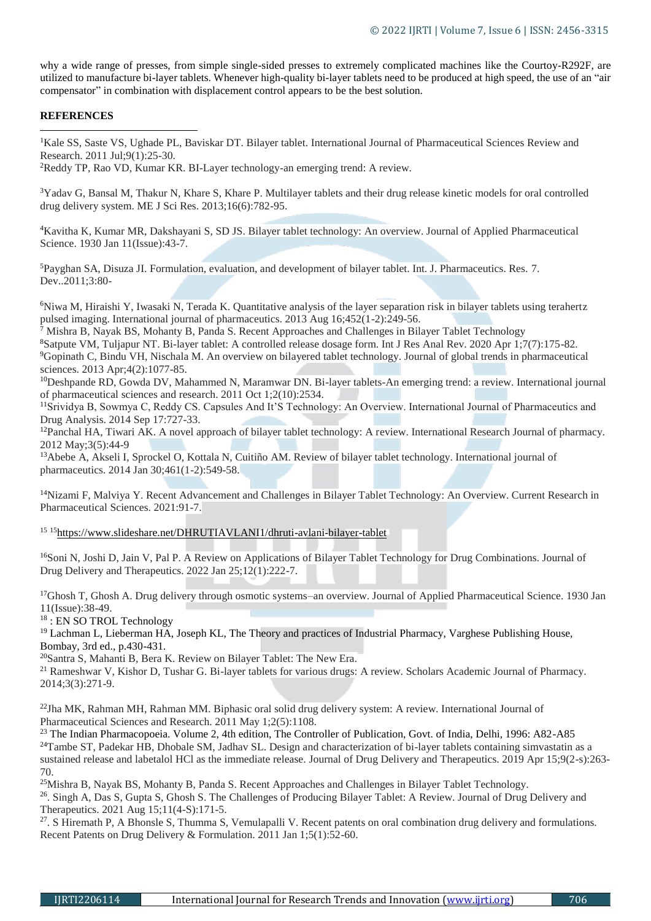why a wide range of presses, from simple single-sided presses to extremely complicated machines like the Courtoy-R292F, are utilized to manufacture bi-layer tablets. Whenever high-quality bi-layer tablets need to be produced at high speed, the use of an "air compensator" in combination with displacement control appears to be the best solution.

## **REFERENCES**

**.** 

<sup>1</sup>Kale SS, Saste VS, Ughade PL, Baviskar DT. Bilayer tablet. International Journal of Pharmaceutical Sciences Review and Research. 2011 Jul;9(1):25-30.

<sup>2</sup>Reddy TP, Rao VD, Kumar KR. BI-Layer technology-an emerging trend: A review.

<sup>3</sup>Yadav G, Bansal M, Thakur N, Khare S, Khare P. Multilayer tablets and their drug release kinetic models for oral controlled drug delivery system. ME J Sci Res. 2013;16(6):782-95.

<sup>4</sup>Kavitha K, Kumar MR, Dakshayani S, SD JS. Bilayer tablet technology: An overview. Journal of Applied Pharmaceutical Science. 1930 Jan 11(Issue):43-7.

<sup>5</sup>Payghan SA, Disuza JI. Formulation, evaluation, and development of bilayer tablet. Int. J. Pharmaceutics. Res. 7. Dev..2011;3:80-

<sup>6</sup>Niwa M, Hiraishi Y, Iwasaki N, Terada K. Quantitative analysis of the layer separation risk in bilayer tablets using terahertz pulsed imaging. International journal of pharmaceutics. 2013 Aug 16;452(1-2):249-56.

<sup>7</sup> Mishra B, Nayak BS, Mohanty B, Panda S. Recent Approaches and Challenges in Bilayer Tablet Technology

<sup>8</sup>Satpute VM, Tuljapur NT. Bi-layer tablet: A controlled release dosage form. Int J Res Anal Rev. 2020 Apr 1;7(7):175-82. <sup>9</sup>Gopinath C, Bindu VH, Nischala M. An overview on bilayered tablet technology. Journal of global trends in pharmaceutical sciences. 2013 Apr;4(2):1077-85.

<sup>10</sup>Deshpande RD, Gowda DV, Mahammed N, Maramwar DN. Bi-layer tablets-An emerging trend: a review. International journal of pharmaceutical sciences and research. 2011 Oct 1;2(10):2534.

<sup>11</sup>Srividya B, Sowmya C, Reddy CS. Capsules And It'S Technology: An Overview. International Journal of Pharmaceutics and Drug Analysis. 2014 Sep 17:727-33.

<sup>12</sup>Panchal HA, Tiwari AK. A novel approach of bilayer tablet technology: A review. International Research Journal of pharmacy. 2012 May;3(5):44-9

<sup>13</sup>Abebe A, Akseli I, Sprockel O, Kottala N, Cuitiño AM. Review of bilayer tablet technology. International journal of pharmaceutics. 2014 Jan 30;461(1-2):549-58.

<sup>14</sup>Nizami F, Malviya Y. Recent Advancement and Challenges in Bilayer Tablet Technology: An Overview. Current Research in Pharmaceutical Sciences. 2021:91-7.

<sup>15</sup> <sup>15</sup><https://www.slideshare.net/DHRUTIAVLANI1/dhruti-avlani-bilayer-tablet>

<sup>16</sup>Soni N, Joshi D, Jain V, Pal P. A Review on Applications of Bilayer Tablet Technology for Drug Combinations. Journal of Drug Delivery and Therapeutics. 2022 Jan 25;12(1):222-7.

<sup>17</sup>Ghosh T, Ghosh A. Drug delivery through osmotic systems–an overview. Journal of Applied Pharmaceutical Science. 1930 Jan 11(Issue):38-49.

<sup>18</sup> : EN SO TROL Technology

<sup>19</sup> Lachman L, Lieberman HA, Joseph KL, The Theory and practices of Industrial Pharmacy, Varghese Publishing House, Bombay, 3rd ed., p.430-431.

<sup>20</sup>Santra S, Mahanti B, Bera K. Review on Bilayer Tablet: The New Era.

<sup>21</sup> Rameshwar V, Kishor D, Tushar G. Bi-layer tablets for various drugs: A review. Scholars Academic Journal of Pharmacy. 2014;3(3):271-9.

<sup>22</sup>Jha MK, Rahman MH, Rahman MM. Biphasic oral solid drug delivery system: A review. International Journal of Pharmaceutical Sciences and Research. 2011 May 1;2(5):1108.

<sup>23</sup> The Indian Pharmacopoeia. Volume 2, 4th edition, The Controller of Publication, Govt. of India, Delhi, 1996: A82-A85  $24$ Tambe ST, Padekar HB, Dhobale SM, Jadhav SL. Design and characterization of bi-layer tablets containing simvastatin as a sustained release and labetalol HCl as the immediate release. Journal of Drug Delivery and Therapeutics. 2019 Apr 15;9(2-s):263- 70.

<sup>25</sup>Mishra B, Nayak BS, Mohanty B, Panda S. Recent Approaches and Challenges in Bilayer Tablet Technology. <sup>26</sup>. Singh A, Das S, Gupta S, Ghosh S. The Challenges of Producing Bilayer Tablet: A Review. Journal of Drug Delivery and Therapeutics. 2021 Aug 15;11(4-S):171-5.

<sup>27</sup>. S Hiremath P, A Bhonsle S, Thumma S, Vemulapalli V. Recent patents on oral combination drug delivery and formulations. Recent Patents on Drug Delivery & Formulation. 2011 Jan 1;5(1):52-60.